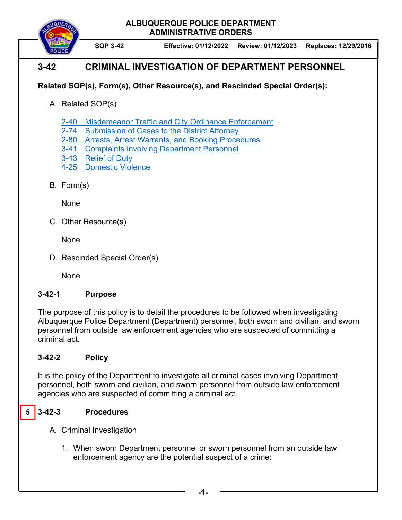**ALBUQUERQUE POLICE DEPARTMENT ADMINISTRATIVE ORDERS** 



**SOP 3-42 Effective: 01/12/2022 Review: 01/12/2023 Replaces: 12/29/2016** 

# **3-42 CRIMINAL INVESTIGATION OF DEPARTMENT PERSONNEL**

## **Related SOP(s), Form(s), Other Resource(s), and Rescinded Special Order(s):**

A. Related SOP(s)

2-40 Misdemeanor Traffic and City Ordinance Enforcement

- 2-74 Submission of Cases to the District Attorney
- 2-80 Arrests, Arrest Warrants, and Booking Procedures
- 3-41 Complaints Involving Department Personnel
- 3-43 Relief of Duty
- 4-25 Domestic Violence
- B. Form(s)

None

C. Other Resource(s)

**None** 

D. Rescinded Special Order(s)

None

### **3-42-1 Purpose**

The purpose of this policy is to detail the procedures to be followed when investigating Albuquerque Police Department (Department) personnel, both sworn and civilian, and sworn personnel from outside law enforcement agencies who are suspected of committing a criminal act.

# **3-42-2 Policy**

It is the policy of the Department to investigate all criminal cases involving Department personnel, both sworn and civilian, and sworn personnel from outside law enforcement agencies who are suspected of committing a criminal act.

#### **5 3-42-3 Procedures**

A. Criminal Investigation

1. When sworn Department personnel or sworn personnel from an outside law enforcement agency are the potential suspect of a crime: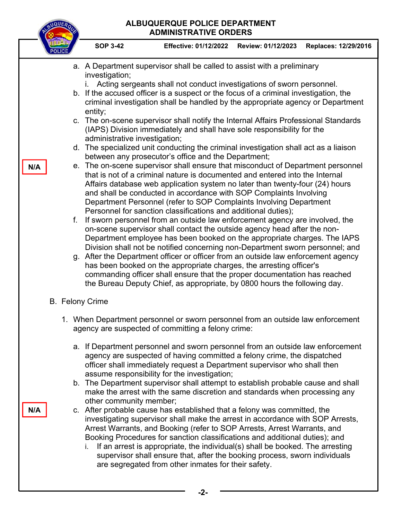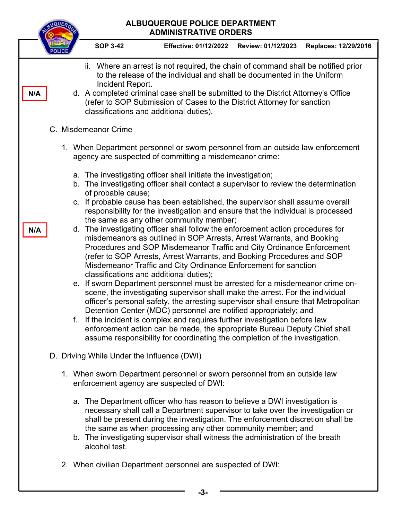| ALBUQUERQUE POLICE DEPARTMENT<br><b>ADMINISTRATIVE ORDERS</b> |                                                                                                                                            |  |                                                                                                                                                                                                                                                                                                                                                                                                |                                                                                                                                                                                                                                                                                                                                                                                                                                                                                                                                                                                                                                                                                                                                                                                                                                                                                                               |                    |                      |  |
|---------------------------------------------------------------|--------------------------------------------------------------------------------------------------------------------------------------------|--|------------------------------------------------------------------------------------------------------------------------------------------------------------------------------------------------------------------------------------------------------------------------------------------------------------------------------------------------------------------------------------------------|---------------------------------------------------------------------------------------------------------------------------------------------------------------------------------------------------------------------------------------------------------------------------------------------------------------------------------------------------------------------------------------------------------------------------------------------------------------------------------------------------------------------------------------------------------------------------------------------------------------------------------------------------------------------------------------------------------------------------------------------------------------------------------------------------------------------------------------------------------------------------------------------------------------|--------------------|----------------------|--|
|                                                               |                                                                                                                                            |  | <b>SOP 3-42</b>                                                                                                                                                                                                                                                                                                                                                                                | <b>Effective: 01/12/2022</b>                                                                                                                                                                                                                                                                                                                                                                                                                                                                                                                                                                                                                                                                                                                                                                                                                                                                                  | Review: 01/12/2023 | Replaces: 12/29/2016 |  |
| N/A                                                           |                                                                                                                                            |  | Where an arrest is not required, the chain of command shall be notified prior<br>ii.<br>to the release of the individual and shall be documented in the Uniform<br>Incident Report.<br>d. A completed criminal case shall be submitted to the District Attorney's Office<br>(refer to SOP Submission of Cases to the District Attorney for sanction<br>classifications and additional duties). |                                                                                                                                                                                                                                                                                                                                                                                                                                                                                                                                                                                                                                                                                                                                                                                                                                                                                                               |                    |                      |  |
| C. Misdemeanor Crime                                          |                                                                                                                                            |  |                                                                                                                                                                                                                                                                                                                                                                                                |                                                                                                                                                                                                                                                                                                                                                                                                                                                                                                                                                                                                                                                                                                                                                                                                                                                                                                               |                    |                      |  |
|                                                               | 1. When Department personnel or sworn personnel from an outside law enforcement<br>agency are suspected of committing a misdemeanor crime: |  |                                                                                                                                                                                                                                                                                                                                                                                                |                                                                                                                                                                                                                                                                                                                                                                                                                                                                                                                                                                                                                                                                                                                                                                                                                                                                                                               |                    |                      |  |
|                                                               |                                                                                                                                            |  | of probable cause;                                                                                                                                                                                                                                                                                                                                                                             | a. The investigating officer shall initiate the investigation;<br>b. The investigating officer shall contact a supervisor to review the determination                                                                                                                                                                                                                                                                                                                                                                                                                                                                                                                                                                                                                                                                                                                                                         |                    |                      |  |
| N/A                                                           |                                                                                                                                            |  |                                                                                                                                                                                                                                                                                                                                                                                                | c. If probable cause has been established, the supervisor shall assume overall<br>responsibility for the investigation and ensure that the individual is processed<br>the same as any other community member;<br>d. The investigating officer shall follow the enforcement action procedures for                                                                                                                                                                                                                                                                                                                                                                                                                                                                                                                                                                                                              |                    |                      |  |
|                                                               |                                                                                                                                            |  |                                                                                                                                                                                                                                                                                                                                                                                                | misdemeanors as outlined in SOP Arrests, Arrest Warrants, and Booking<br>Procedures and SOP Misdemeanor Traffic and City Ordinance Enforcement<br>(refer to SOP Arrests, Arrest Warrants, and Booking Procedures and SOP<br>Misdemeanor Traffic and City Ordinance Enforcement for sanction<br>classifications and additional duties);<br>e. If sworn Department personnel must be arrested for a misdemeanor crime on-<br>scene, the investigating supervisor shall make the arrest. For the individual<br>officer's personal safety, the arresting supervisor shall ensure that Metropolitan<br>Detention Center (MDC) personnel are notified appropriately; and<br>f. If the incident is complex and requires further investigation before law<br>enforcement action can be made, the appropriate Bureau Deputy Chief shall<br>assume responsibility for coordinating the completion of the investigation. |                    |                      |  |
|                                                               | D. Driving While Under the Influence (DWI)                                                                                                 |  |                                                                                                                                                                                                                                                                                                                                                                                                |                                                                                                                                                                                                                                                                                                                                                                                                                                                                                                                                                                                                                                                                                                                                                                                                                                                                                                               |                    |                      |  |
|                                                               | 1. When sworn Department personnel or sworn personnel from an outside law<br>enforcement agency are suspected of DWI:                      |  |                                                                                                                                                                                                                                                                                                                                                                                                |                                                                                                                                                                                                                                                                                                                                                                                                                                                                                                                                                                                                                                                                                                                                                                                                                                                                                                               |                    |                      |  |
|                                                               |                                                                                                                                            |  | alcohol test.                                                                                                                                                                                                                                                                                                                                                                                  | a. The Department officer who has reason to believe a DWI investigation is<br>necessary shall call a Department supervisor to take over the investigation or<br>shall be present during the investigation. The enforcement discretion shall be<br>the same as when processing any other community member; and<br>b. The investigating supervisor shall witness the administration of the breath                                                                                                                                                                                                                                                                                                                                                                                                                                                                                                               |                    |                      |  |
|                                                               |                                                                                                                                            |  |                                                                                                                                                                                                                                                                                                                                                                                                | 2. When civilian Department personnel are suspected of DWI:                                                                                                                                                                                                                                                                                                                                                                                                                                                                                                                                                                                                                                                                                                                                                                                                                                                   |                    |                      |  |